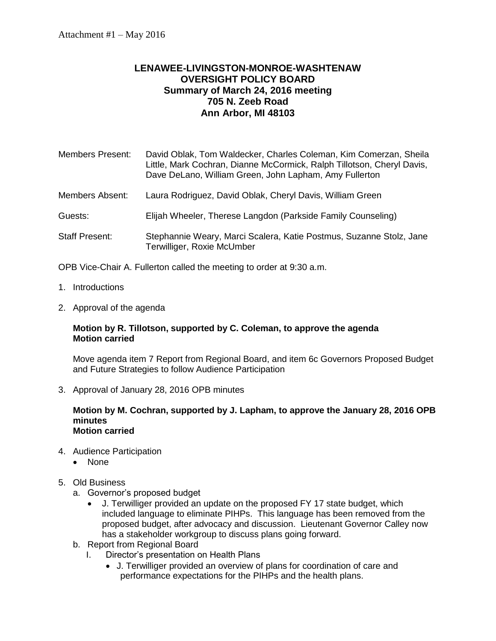## **LENAWEE-LIVINGSTON-MONROE-WASHTENAW OVERSIGHT POLICY BOARD Summary of March 24, 2016 meeting 705 N. Zeeb Road Ann Arbor, MI 48103**

| <b>Members Present:</b> | David Oblak, Tom Waldecker, Charles Coleman, Kim Comerzan, Sheila<br>Little, Mark Cochran, Dianne McCormick, Ralph Tillotson, Cheryl Davis,<br>Dave DeLano, William Green, John Lapham, Amy Fullerton |
|-------------------------|-------------------------------------------------------------------------------------------------------------------------------------------------------------------------------------------------------|
| <b>Members Absent:</b>  | Laura Rodriguez, David Oblak, Cheryl Davis, William Green                                                                                                                                             |
| Guests:                 | Elijah Wheeler, Therese Langdon (Parkside Family Counseling)                                                                                                                                          |
| <b>Staff Present:</b>   | Stephannie Weary, Marci Scalera, Katie Postmus, Suzanne Stolz, Jane<br>Terwilliger, Roxie McUmber                                                                                                     |

OPB Vice-Chair A. Fullerton called the meeting to order at 9:30 a.m.

- 1. Introductions
- 2. Approval of the agenda

#### **Motion by R. Tillotson, supported by C. Coleman, to approve the agenda Motion carried**

Move agenda item 7 Report from Regional Board, and item 6c Governors Proposed Budget and Future Strategies to follow Audience Participation

3. Approval of January 28, 2016 OPB minutes

#### **Motion by M. Cochran, supported by J. Lapham, to approve the January 28, 2016 OPB minutes Motion carried**

- 4. Audience Participation
	- None

## 5. Old Business

- a. Governor's proposed budget
	- J. Terwilliger provided an update on the proposed FY 17 state budget, which included language to eliminate PIHPs. This language has been removed from the proposed budget, after advocacy and discussion. Lieutenant Governor Calley now has a stakeholder workgroup to discuss plans going forward.
- b. Report from Regional Board
	- I. Director's presentation on Health Plans
		- J. Terwilliger provided an overview of plans for coordination of care and performance expectations for the PIHPs and the health plans.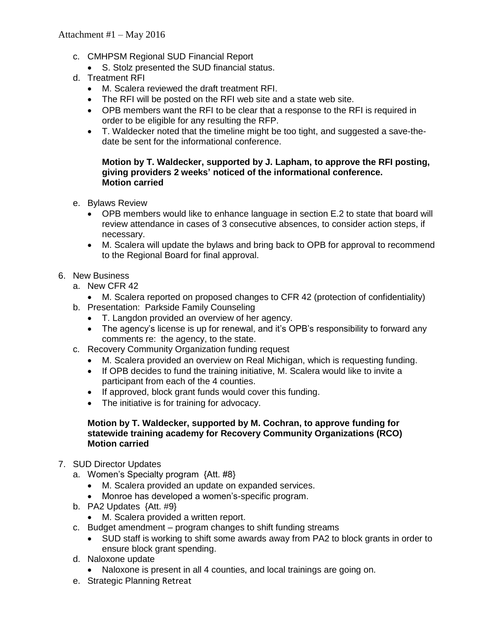- c. CMHPSM Regional SUD Financial Report
	- S. Stolz presented the SUD financial status.
- d. Treatment RFI
	- M. Scalera reviewed the draft treatment RFI.
	- The RFI will be posted on the RFI web site and a state web site.
	- OPB members want the RFI to be clear that a response to the RFI is required in order to be eligible for any resulting the RFP.
	- T. Waldecker noted that the timeline might be too tight, and suggested a save-thedate be sent for the informational conference.

#### **Motion by T. Waldecker, supported by J. Lapham, to approve the RFI posting, giving providers 2 weeks' noticed of the informational conference. Motion carried**

- e. Bylaws Review
	- OPB members would like to enhance language in section E.2 to state that board will review attendance in cases of 3 consecutive absences, to consider action steps, if necessary.
	- M. Scalera will update the bylaws and bring back to OPB for approval to recommend to the Regional Board for final approval.

### 6. New Business

- a. New CFR 42
- M. Scalera reported on proposed changes to CFR 42 (protection of confidentiality) b. Presentation: Parkside Family Counseling
	- T. Langdon provided an overview of her agency.
	- The agency's license is up for renewal, and it's OPB's responsibility to forward any comments re: the agency, to the state.
- c. Recovery Community Organization funding request
	- M. Scalera provided an overview on Real Michigan, which is requesting funding.
	- If OPB decides to fund the training initiative, M. Scalera would like to invite a participant from each of the 4 counties.
	- If approved, block grant funds would cover this funding.
	- The initiative is for training for advocacy.

#### **Motion by T. Waldecker, supported by M. Cochran, to approve funding for statewide training academy for Recovery Community Organizations (RCO) Motion carried**

- 7. SUD Director Updates
	- a. Women's Specialty program {Att. #8}
		- M. Scalera provided an update on expanded services.
		- Monroe has developed a women's-specific program.
	- b. PA2 Updates {Att. #9}
		- M. Scalera provided a written report.
	- c. Budget amendment program changes to shift funding streams
		- SUD staff is working to shift some awards away from PA2 to block grants in order to ensure block grant spending.
	- d. Naloxone update
		- Naloxone is present in all 4 counties, and local trainings are going on.
	- e. Strategic Planning Retreat